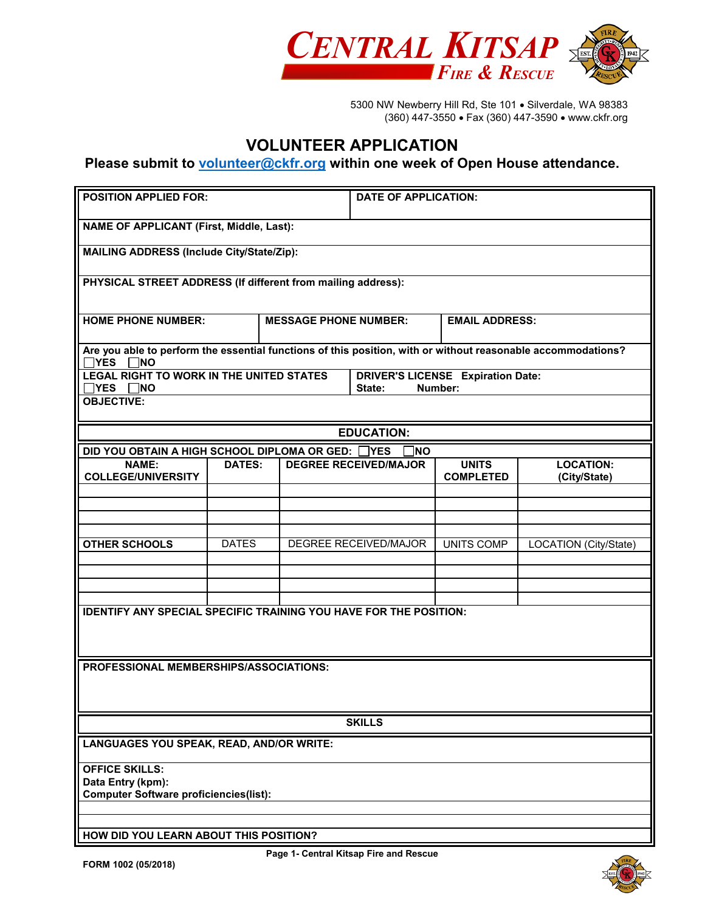

5300 NW Newberry Hill Rd, Ste 101 • Silverdale, WA 98383 (360) 447-3550 • Fax (360) 447-3590 • www.ckfr.org

## **VOLUNTEER APPLICATION**

## **Please submit to [volunteer@ckfr.org](mailto:volunteer@ckfr.org) within one week of Open House attendance.**

| <b>POSITION APPLIED FOR:</b>                                                                                                         |                                                  |                              | <b>DATE OF APPLICATION:</b> |      |                                                     |                                  |  |
|--------------------------------------------------------------------------------------------------------------------------------------|--------------------------------------------------|------------------------------|-----------------------------|------|-----------------------------------------------------|----------------------------------|--|
|                                                                                                                                      | <b>NAME OF APPLICANT (First, Middle, Last):</b>  |                              |                             |      |                                                     |                                  |  |
|                                                                                                                                      | <b>MAILING ADDRESS (Include City/State/Zip):</b> |                              |                             |      |                                                     |                                  |  |
| PHYSICAL STREET ADDRESS (If different from mailing address):                                                                         |                                                  |                              |                             |      |                                                     |                                  |  |
| <b>HOME PHONE NUMBER:</b>                                                                                                            |                                                  | <b>MESSAGE PHONE NUMBER:</b> |                             |      | <b>EMAIL ADDRESS:</b>                               |                                  |  |
| Are you able to perform the essential functions of this position, with or without reasonable accommodations?<br>$\Box$ YES $\Box$ NO |                                                  |                              |                             |      |                                                     |                                  |  |
| <b>LEGAL RIGHT TO WORK IN THE UNITED STATES</b><br>$\Box$ YES $\Box$ NO                                                              |                                                  |                              | State:                      |      | <b>DRIVER'S LICENSE Expiration Date:</b><br>Number: |                                  |  |
| <b>OBJECTIVE:</b>                                                                                                                    |                                                  |                              |                             |      |                                                     |                                  |  |
|                                                                                                                                      |                                                  |                              | <b>EDUCATION:</b>           |      |                                                     |                                  |  |
| DID YOU OBTAIN A HIGH SCHOOL DIPLOMA OR GED:                                                                                         |                                                  |                              | ∃YES                        | INO. |                                                     |                                  |  |
| <b>NAME:</b><br><b>COLLEGE/UNIVERSITY</b>                                                                                            | <b>DATES:</b>                                    | <b>DEGREE RECEIVED/MAJOR</b> |                             |      | <b>UNITS</b><br><b>COMPLETED</b>                    | <b>LOCATION:</b><br>(City/State) |  |
|                                                                                                                                      |                                                  |                              |                             |      |                                                     |                                  |  |
|                                                                                                                                      |                                                  |                              |                             |      |                                                     |                                  |  |
|                                                                                                                                      |                                                  |                              |                             |      |                                                     |                                  |  |
| <b>OTHER SCHOOLS</b>                                                                                                                 | <b>DATES</b>                                     | <b>DEGREE RECEIVED/MAJOR</b> |                             |      | <b>UNITS COMP</b>                                   | LOCATION (City/State)            |  |
|                                                                                                                                      |                                                  |                              |                             |      |                                                     |                                  |  |
|                                                                                                                                      |                                                  |                              |                             |      |                                                     |                                  |  |
|                                                                                                                                      |                                                  |                              |                             |      |                                                     |                                  |  |
| <b>IDENTIFY ANY SPECIAL SPECIFIC TRAINING YOU HAVE FOR THE POSITION:</b>                                                             |                                                  |                              |                             |      |                                                     |                                  |  |
|                                                                                                                                      |                                                  |                              |                             |      |                                                     |                                  |  |
|                                                                                                                                      |                                                  |                              |                             |      |                                                     |                                  |  |
| PROFESSIONAL MEMBERSHIPS/ASSOCIATIONS:                                                                                               |                                                  |                              |                             |      |                                                     |                                  |  |
|                                                                                                                                      |                                                  |                              |                             |      |                                                     |                                  |  |
|                                                                                                                                      |                                                  |                              |                             |      |                                                     |                                  |  |
| <b>SKILLS</b>                                                                                                                        |                                                  |                              |                             |      |                                                     |                                  |  |
| <b>LANGUAGES YOU SPEAK, READ, AND/OR WRITE:</b>                                                                                      |                                                  |                              |                             |      |                                                     |                                  |  |
| <b>OFFICE SKILLS:</b>                                                                                                                |                                                  |                              |                             |      |                                                     |                                  |  |
| Data Entry (kpm):                                                                                                                    |                                                  |                              |                             |      |                                                     |                                  |  |
| <b>Computer Software proficiencies(list):</b>                                                                                        |                                                  |                              |                             |      |                                                     |                                  |  |
|                                                                                                                                      |                                                  |                              |                             |      |                                                     |                                  |  |
| HOW DID YOU LEARN ABOUT THIS POSITION?                                                                                               |                                                  |                              |                             |      |                                                     |                                  |  |

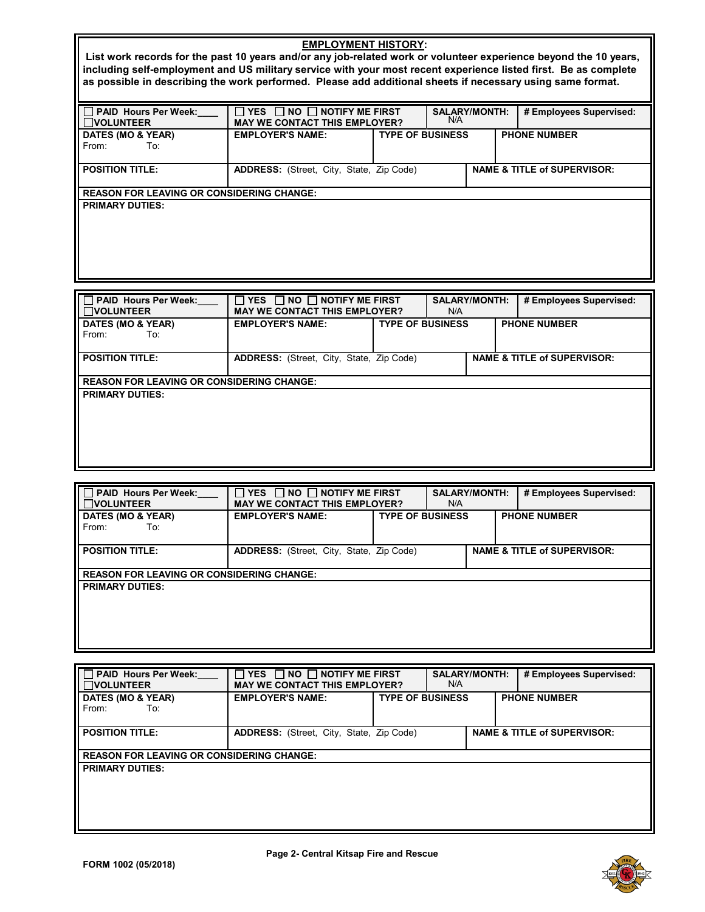| <b>EMPLOYMENT HISTORY:</b>                                                                                      |                                                                                                                  |  |                      |                                        |                         |
|-----------------------------------------------------------------------------------------------------------------|------------------------------------------------------------------------------------------------------------------|--|----------------------|----------------------------------------|-------------------------|
|                                                                                                                 | List work records for the past 10 years and/or any job-related work or volunteer experience beyond the 10 years, |  |                      |                                        |                         |
| including self-employment and US military service with your most recent experience listed first. Be as complete |                                                                                                                  |  |                      |                                        |                         |
| as possible in describing the work performed. Please add additional sheets if necessary using same format.      |                                                                                                                  |  |                      |                                        |                         |
|                                                                                                                 |                                                                                                                  |  |                      |                                        |                         |
| □ PAID Hours Per Week:                                                                                          | $\Box$ YES $\Box$ NO $\Box$ NOTIFY ME FIRST                                                                      |  | <b>SALARY/MONTH:</b> |                                        | # Employees Supervised: |
| <b>NOLUNTEER</b>                                                                                                | <b>MAY WE CONTACT THIS EMPLOYER?</b>                                                                             |  | N/A                  |                                        |                         |
| DATES (MO & YEAR)                                                                                               | <b>TYPE OF BUSINESS</b><br><b>EMPLOYER'S NAME:</b>                                                               |  |                      |                                        | <b>PHONE NUMBER</b>     |
| To:<br>From:                                                                                                    |                                                                                                                  |  |                      |                                        |                         |
|                                                                                                                 |                                                                                                                  |  |                      |                                        |                         |
| <b>POSITION TITLE:</b>                                                                                          | <b>ADDRESS:</b> (Street, City, State, Zip Code)                                                                  |  |                      | <b>NAME &amp; TITLE of SUPERVISOR:</b> |                         |
| <b>REASON FOR LEAVING OR CONSIDERING CHANGE:</b>                                                                |                                                                                                                  |  |                      |                                        |                         |
| <b>PRIMARY DUTIES:</b>                                                                                          |                                                                                                                  |  |                      |                                        |                         |
|                                                                                                                 |                                                                                                                  |  |                      |                                        |                         |
|                                                                                                                 |                                                                                                                  |  |                      |                                        |                         |
|                                                                                                                 |                                                                                                                  |  |                      |                                        |                         |
|                                                                                                                 |                                                                                                                  |  |                      |                                        |                         |
|                                                                                                                 |                                                                                                                  |  |                      |                                        |                         |
|                                                                                                                 |                                                                                                                  |  |                      |                                        |                         |

| <b>PAID Hours Per Week:</b><br>$\Box$ volunteer  | YES $\Box$ NO $\Box$ NOTIFY ME FIRST<br>$\mathcal{L}$<br><b>MAY WE CONTACT THIS EMPLOYER?</b> |                         | <b>SALARY/MONTH:</b><br>N/A |  | # Employees Supervised:                |
|--------------------------------------------------|-----------------------------------------------------------------------------------------------|-------------------------|-----------------------------|--|----------------------------------------|
| DATES (MO & YEAR)<br>From:<br>To:                | <b>EMPLOYER'S NAME:</b>                                                                       | <b>TYPE OF BUSINESS</b> |                             |  | <b>PHONE NUMBER</b>                    |
| <b>POSITION TITLE:</b>                           | <b>ADDRESS:</b> (Street, City, State, Zip Code)                                               |                         |                             |  | <b>NAME &amp; TITLE of SUPERVISOR:</b> |
| <b>REASON FOR LEAVING OR CONSIDERING CHANGE:</b> |                                                                                               |                         |                             |  |                                        |
| <b>PRIMARY DUTIES:</b>                           |                                                                                               |                         |                             |  |                                        |

| <b>PAID Hours Per Week:</b><br><b>VOLUNTEER</b>  | $\Box$ YES $\Box$ NO $\Box$ NOTIFY ME FIRST<br><b>MAY WE CONTACT THIS EMPLOYER?</b>       |  | <b>SALARY/MONTH:</b><br>N/A |  |  | # Employees Supervised: |
|--------------------------------------------------|-------------------------------------------------------------------------------------------|--|-----------------------------|--|--|-------------------------|
| DATES (MO & YEAR)<br>From:<br>To:                | <b>TYPE OF BUSINESS</b><br><b>EMPLOYER'S NAME:</b>                                        |  | <b>PHONE NUMBER</b>         |  |  |                         |
| <b>POSITION TITLE:</b>                           | <b>NAME &amp; TITLE of SUPERVISOR:</b><br><b>ADDRESS:</b> (Street, City, State, Zip Code) |  |                             |  |  |                         |
| <b>REASON FOR LEAVING OR CONSIDERING CHANGE:</b> |                                                                                           |  |                             |  |  |                         |
| <b>PRIMARY DUTIES:</b>                           |                                                                                           |  |                             |  |  |                         |

| <b>PAID Hours Per Week:</b><br><b>NOLUNTEER</b>  | $\Box$ NO $\Box$ NOTIFY ME FIRST<br><b>YES</b><br><b>MAY WE CONTACT THIS EMPLOYER?</b> |                         | <b>SALARY/MONTH:</b><br>N/A |                                        | # Employees Supervised: |  |
|--------------------------------------------------|----------------------------------------------------------------------------------------|-------------------------|-----------------------------|----------------------------------------|-------------------------|--|
| DATES (MO & YEAR)<br>From:<br>To:                | <b>EMPLOYER'S NAME:</b>                                                                | <b>TYPE OF BUSINESS</b> |                             |                                        | <b>PHONE NUMBER</b>     |  |
| <b>POSITION TITLE:</b>                           | <b>ADDRESS:</b> (Street, City, State, Zip Code)                                        |                         |                             | <b>NAME &amp; TITLE of SUPERVISOR:</b> |                         |  |
| <b>REASON FOR LEAVING OR CONSIDERING CHANGE:</b> |                                                                                        |                         |                             |                                        |                         |  |
| <b>PRIMARY DUTIES:</b>                           |                                                                                        |                         |                             |                                        |                         |  |